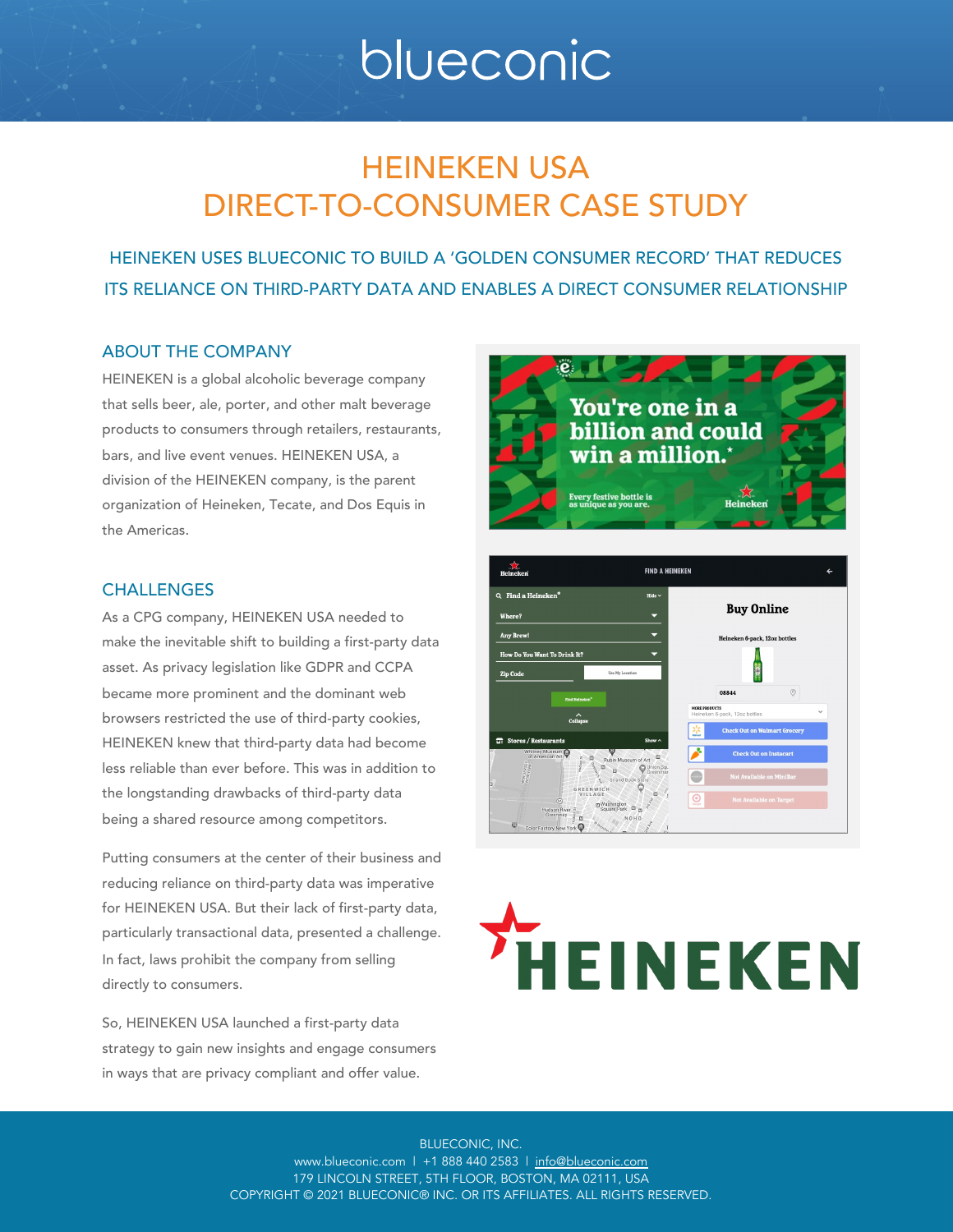# blueconic

# HEINEKEN USA DIRECT-TO-CONSUMER CASE STUDY

HEINEKEN USES BLUECONIC TO BUILD A 'GOLDEN CONSUMER RECORD' THAT REDUCES ITS RELIANCE ON THIRD-PARTY DATA AND ENABLES A DIRECT CONSUMER RELATIONSHIP

#### ABOUT THE COMPANY

HEINEKEN is a global alcoholic beverage company that sells beer, ale, porter, and other malt beverage products to consumers through retailers, restaurants, bars, and live event venues. HEINEKEN USA, a division of the HEINEKEN company, is the parent organization of Heineken, Tecate, and Dos Equis in the Americas.

# You're one in a **billion and could** win a million. ery festive bottle is

#### **CHALLENGES**

As a CPG company, HEINEKEN USA needed to make the inevitable shift to building a first-party data asset. As privacy legislation like GDPR and CCPA became more prominent and the dominant web browsers restricted the use of third-party cookies, HEINEKEN knew that third-party data had become less reliable than ever before. This was in addition to the longstanding drawbacks of third-party data being a shared resource among competitors.

Putting consumers at the center of their business and reducing reliance on third-party data was imperative for HEINEKEN USA. But their lack of first-party data, particularly transactional data, presented a challenge. In fact, laws prohibit the company from selling directly to consumers.

So, HEINEKEN USA launched a first-party data strategy to gain new insights and engage consumers in ways that are privacy compliant and offer value.



# **HEINEKEN**

BLUECONIC, INC. www.blueconic.com | +1 888 440 2583 | [info@blueconic.com](mailto:info@blueconic.com) 179 LINCOLN STREET, 5TH FLOOR, BOSTON, MA 02111, USA COPYRIGHT © 2021 BLUECONIC® INC. OR ITS AFFILIATES. ALL RIGHTS RESERVED.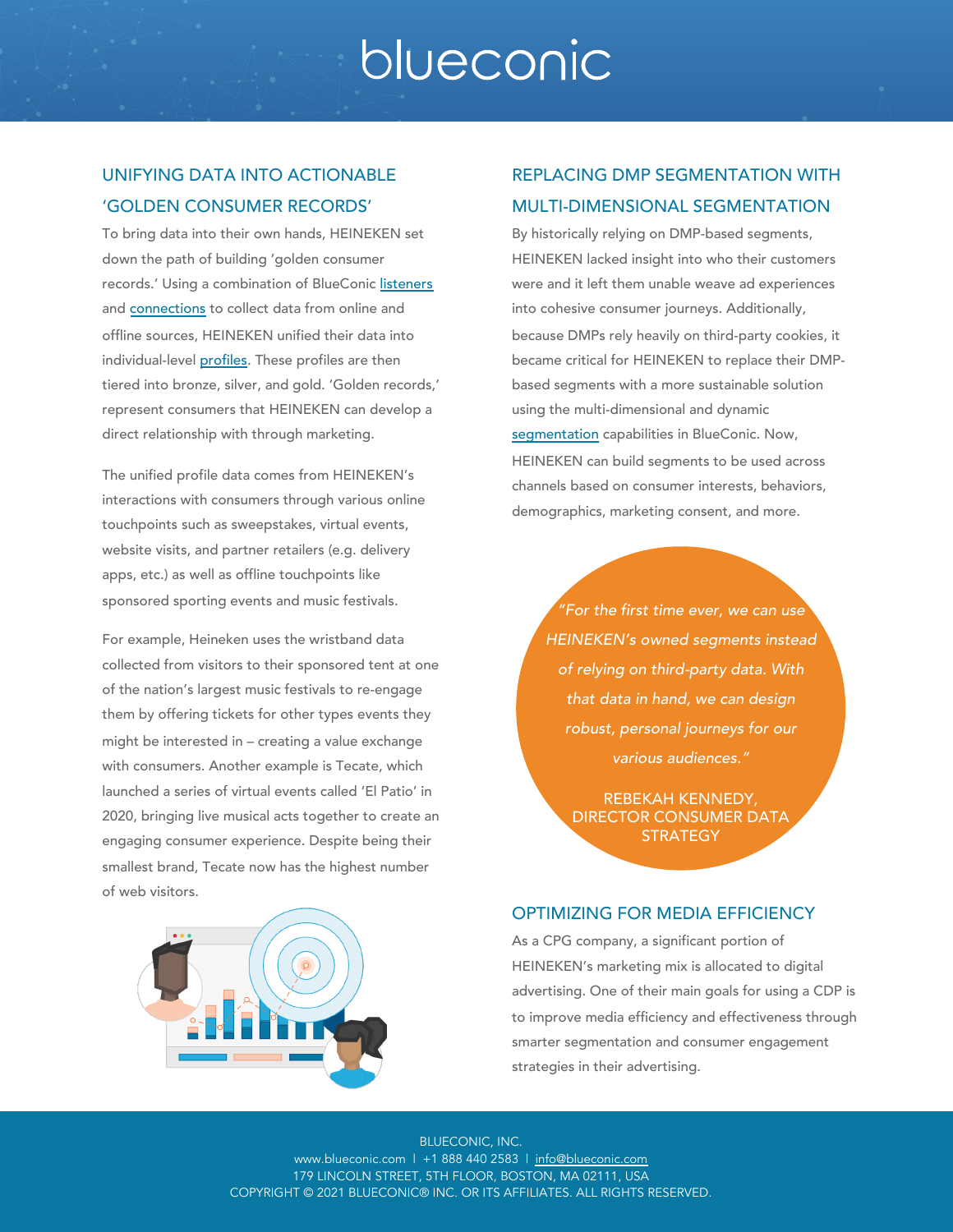# blueconic

## UNIFYING DATA INTO ACTIONABLE 'GOLDEN CONSUMER RECORDS'

records.' Using a combination of BlueConic [listeners](https://support.blueconic.com/hc/en-us/articles/202531942-Listeners-Overview)

 $f$  data into the their own hands,  $f$ 

and **[connections](https://support.blueconic.com/hc/en-us/articles/360050079653-BlueConic-Connections-overview)** to collect data from online and offline sources, HEINEKEN unified their data into individual-level [profiles.](https://www.blueconic.com/customer-data-platform/unified-customer-profile/) These profiles are then tiered into bronze, silver, and gold. 'Golden records,' represent consumers that HEINEKEN can develop a direct relationship with through marketing.

The unified profile data comes from HEINEKEN's interactions with consumers through various online touchpoints such as sweepstakes, virtual events, website visits, and partner retailers (e.g. delivery apps, etc.) as well as offline touchpoints like sponsored sporting events and music festivals.

For example, Heineken uses the wristband data collected from visitors to their sponsored tent at one of the nation's largest music festivals to re-engage them by offering tickets for other types events they might be interested in – creating a value exchange with consumers. Another example is Tecate, which launched a series of virtual events called 'El Patio' in 2020, bringing live musical acts together to create an engaging consumer experience. Despite being their smallest brand, Tecate now has the highest number of web visitors.



were and it left them unable weave ad experiences into cohesive consumer journeys. Additionally, because DMPs rely heavily on third-party cookies, it became critical for HEINEKEN to replace their DMPbased segments with a more sustainable solution using the multi-dimensional and dynamic [segmentation](https://www.blueconic.com/customer-data-platform/customer-segmentation/) capabilities in BlueConic. Now, HEINEKEN can build segments to be used across channels based on consumer interests, behaviors, demographics, marketing consent, and more.

REPLACING DMP SEGMENTATION WITH

*"For the first time ever, we can use HEINEKEN's owned segments instead of relying on third-party data. With that data in hand, we can design robust, personal journeys for our various audiences."*

REBEKAH KENNEDY, DIRECTOR CONSUMER DATA **STRATEGY** 

#### OPTIMIZING FOR MEDIA EFFICIENCY

As a CPG company, a significant portion of HEINEKEN's marketing mix is allocated to digital advertising. One of their main goals for using a CDP is to improve media efficiency and effectiveness through smarter segmentation and consumer engagement strategies in their advertising.

BLUECONIC, INC. www.blueconic.com | +1 888 440 2583 | [info@blueconic.com](mailto:info@blueconic.com) 179 LINCOLN STREET, 5TH FLOOR, BOSTON, MA 02111, USA COPYRIGHT © 2021 BLUECONIC® INC. OR ITS AFFILIATES. ALL RIGHTS RESERVED.